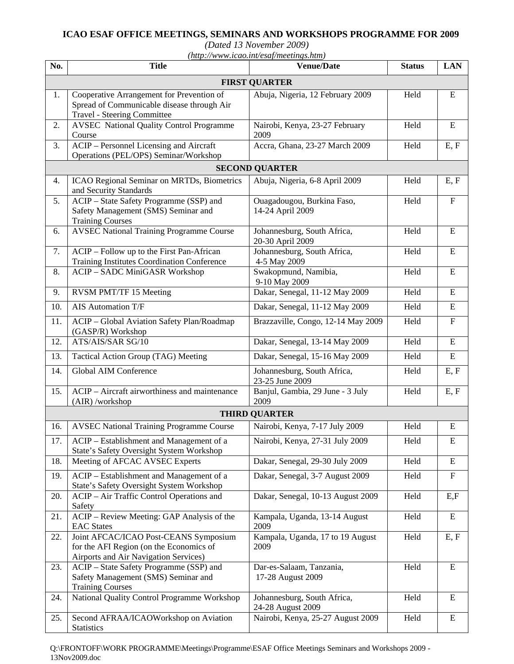## **ICAO ESAF OFFICE MEETINGS, SEMINARS AND WORKSHOPS PROGRAMME FOR 2009**

*(Dated 13 November 2009)* 

|  | $(http://www.icao.int/esaf/meetings.htm)$ |
|--|-------------------------------------------|
|  |                                           |

| No.                   | <b>Title</b>                                                                                                                  | <b>Venue/Date</b>                                | <b>Status</b> | <b>LAN</b>  |  |  |  |
|-----------------------|-------------------------------------------------------------------------------------------------------------------------------|--------------------------------------------------|---------------|-------------|--|--|--|
| <b>FIRST QUARTER</b>  |                                                                                                                               |                                                  |               |             |  |  |  |
| 1.                    | Cooperative Arrangement for Prevention of<br>Spread of Communicable disease through Air<br><b>Travel - Steering Committee</b> | Abuja, Nigeria, 12 February 2009                 | Held          | ${\bf E}$   |  |  |  |
| 2.                    | <b>AVSEC</b> National Quality Control Programme<br>Course                                                                     | Nairobi, Kenya, 23-27 February<br>2009           | Held          | ${\bf E}$   |  |  |  |
| 3.                    | <b>ACIP</b> – Personnel Licensing and Aircraft<br>Operations (PEL/OPS) Seminar/Workshop                                       | Accra, Ghana, 23-27 March 2009                   | Held          | E, F        |  |  |  |
| <b>SECOND QUARTER</b> |                                                                                                                               |                                                  |               |             |  |  |  |
| 4.                    | ICAO Regional Seminar on MRTDs, Biometrics<br>and Security Standards                                                          | Abuja, Nigeria, 6-8 April 2009                   | Held          | E, F        |  |  |  |
| 5.                    | ACIP - State Safety Programme (SSP) and<br>Safety Management (SMS) Seminar and<br><b>Training Courses</b>                     | Ouagadougou, Burkina Faso,<br>14-24 April 2009   | Held          | $\mathbf F$ |  |  |  |
| 6.                    | <b>AVSEC National Training Programme Course</b>                                                                               | Johannesburg, South Africa,<br>20-30 April 2009  | Held          | E           |  |  |  |
| 7.                    | ACIP – Follow up to the First Pan-African<br>Training Institutes Coordination Conference                                      | Johannesburg, South Africa,<br>4-5 May 2009      | Held          | ${\bf E}$   |  |  |  |
| 8.                    | ACIP - SADC MiniGASR Workshop                                                                                                 | Swakopmund, Namibia,<br>9-10 May 2009            | Held          | E           |  |  |  |
| 9.                    | RVSM PMT/TF 15 Meeting                                                                                                        | Dakar, Senegal, 11-12 May 2009                   | Held          | ${\bf E}$   |  |  |  |
| 10.                   | <b>AIS Automation T/F</b>                                                                                                     | Dakar, Senegal, 11-12 May 2009                   | Held          | ${\bf E}$   |  |  |  |
| 11.                   | ACIP - Global Aviation Safety Plan/Roadmap<br>(GASP/R) Workshop                                                               | Brazzaville, Congo, 12-14 May 2009               | Held          | $\mathbf F$ |  |  |  |
| 12.                   | ATS/AIS/SAR SG/10                                                                                                             | Dakar, Senegal, 13-14 May 2009                   | Held          | ${\bf E}$   |  |  |  |
| 13.                   | Tactical Action Group (TAG) Meeting                                                                                           | Dakar, Senegal, 15-16 May 2009                   | Held          | ${\bf E}$   |  |  |  |
| 14.                   | <b>Global AIM Conference</b>                                                                                                  | Johannesburg, South Africa,<br>23-25 June 2009   | Held          | E, F        |  |  |  |
| 15.                   | ACIP – Aircraft airworthiness and maintenance<br>(AIR) /workshop                                                              | Banjul, Gambia, 29 June - 3 July<br>2009         | Held          | E, F        |  |  |  |
| <b>THIRD QUARTER</b>  |                                                                                                                               |                                                  |               |             |  |  |  |
| 16.                   | <b>AVSEC National Training Programme Course</b>                                                                               | Nairobi, Kenya, 7-17 July 2009                   | Held          | ${\bf E}$   |  |  |  |
| 17.                   | ACIP – Establishment and Management of a<br>State's Safety Oversight System Workshop                                          | Nairobi, Kenya, 27-31 July 2009                  | Held          | Ε           |  |  |  |
| 18.                   | Meeting of AFCAC AVSEC Experts                                                                                                | Dakar, Senegal, 29-30 July 2009                  | Held          | ${\bf E}$   |  |  |  |
| 19.                   | ACIP - Establishment and Management of a<br>State's Safety Oversight System Workshop                                          | Dakar, Senegal, 3-7 August 2009                  | Held          | $\mathbf F$ |  |  |  |
| 20.                   | ACIP - Air Traffic Control Operations and<br>Safety                                                                           | Dakar, Senegal, 10-13 August 2009                | Held          | E, F        |  |  |  |
| 21.                   | ACIP - Review Meeting: GAP Analysis of the<br><b>EAC</b> States                                                               | Kampala, Uganda, 13-14 August<br>2009            | Held          | E           |  |  |  |
| 22.                   | Joint AFCAC/ICAO Post-CEANS Symposium<br>for the AFI Region (on the Economics of<br>Airports and Air Navigation Services)     | Kampala, Uganda, 17 to 19 August<br>2009         | Held          | E, F        |  |  |  |
| 23.                   | ACIP - State Safety Programme (SSP) and<br>Safety Management (SMS) Seminar and<br><b>Training Courses</b>                     | Dar-es-Salaam, Tanzania,<br>17-28 August 2009    | Held          | ${\bf E}$   |  |  |  |
| 24.                   | National Quality Control Programme Workshop                                                                                   | Johannesburg, South Africa,<br>24-28 August 2009 | Held          | Ε           |  |  |  |
| 25.                   | Second AFRAA/ICAOWorkshop on Aviation<br><b>Statistics</b>                                                                    | Nairobi, Kenya, 25-27 August 2009                | Held          | ${\bf E}$   |  |  |  |

Q:\FRONTOFF\WORK PROGRAMME\Meetings\Programme\ESAF Office Meetings Seminars and Workshops 2009 - 13Nov2009.doc